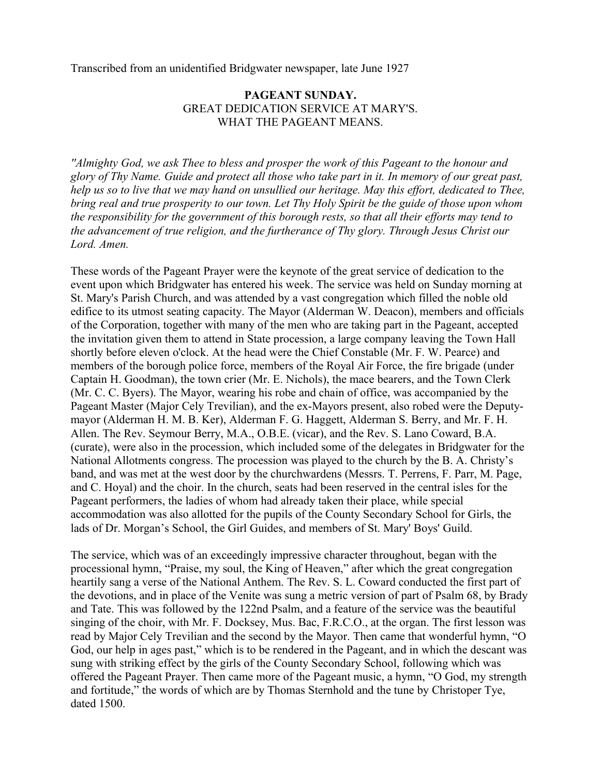Transcribed from an unidentified Bridgwater newspaper, late June 1927

## **PAGEANT SUNDAY.** GREAT DEDICATION SERVICE AT MARY'S. WHAT THE PAGEANT MEANS.

*''Almighty God, we ask Thee to bless and prosper the work of this Pageant to the honour and glory of Thy Name. Guide and protect all those who take part in it. In memory of our great past, help us so to live that we may hand on unsullied our heritage. May this effort, dedicated to Thee, bring real and true prosperity to our town. Let Thy Holy Spirit be the guide of those upon whom the responsibility for the government of this borough rests, so that all their efforts may tend to the advancement of true religion, and the furtherance of Thy glory. Through Jesus Christ our Lord. Amen.* 

These words of the Pageant Prayer were the keynote of the great service of dedication to the event upon which Bridgwater has entered his week. The service was held on Sunday morning at St. Mary's Parish Church, and was attended by a vast congregation which filled the noble old edifice to its utmost seating capacity. The Mayor (Alderman W. Deacon), members and officials of the Corporation, together with many of the men who are taking part in the Pageant, accepted the invitation given them to attend in State procession, a large company leaving the Town Hall shortly before eleven o'clock. At the head were the Chief Constable (Mr. F. W. Pearce) and members of the borough police force, members of the Royal Air Force, the fire brigade (under Captain H. Goodman), the town crier (Mr. E. Nichols), the mace bearers, and the Town Clerk (Mr. C. C. Byers). The Mayor, wearing his robe and chain of office, was accompanied by the Pageant Master (Major Cely Trevilian), and the ex-Mayors present, also robed were the Deputymayor (Alderman H. M. B. Ker), Alderman F. G. Haggett, Alderman S. Berry, and Mr. F. H. Allen. The Rev. Seymour Berry, M.A., O.B.E. (vicar), and the Rev. S. Lano Coward, B.A. (curate), were also in the procession, which included some of the delegates in Bridgwater for the National Allotments congress. The procession was played to the church by the B. A. Christy's band, and was met at the west door by the churchwardens (Messrs. T. Perrens, F. Parr, M. Page, and C. Hoyal) and the choir. In the church, seats had been reserved in the central isles for the Pageant performers, the ladies of whom had already taken their place, while special accommodation was also allotted for the pupils of the County Secondary School for Girls, the lads of Dr. Morgan's School, the Girl Guides, and members of St. Mary' Boys' Guild.

The service, which was of an exceedingly impressive character throughout, began with the processional hymn, "Praise, my soul, the King of Heaven," after which the great congregation heartily sang a verse of the National Anthem. The Rev. S. L. Coward conducted the first part of the devotions, and in place of the Venite was sung a metric version of part of Psalm 68, by Brady and Tate. This was followed by the 122nd Psalm, and a feature of the service was the beautiful singing of the choir, with Mr. F. Docksey, Mus. Bac, F.R.C.O., at the organ. The first lesson was read by Major Cely Trevilian and the second by the Mayor. Then came that wonderful hymn, "O God, our help in ages past," which is to be rendered in the Pageant, and in which the descant was sung with striking effect by the girls of the County Secondary School, following which was offered the Pageant Prayer. Then came more of the Pageant music, a hymn, "O God, my strength and fortitude," the words of which are by Thomas Sternhold and the tune by Christoper Tye, dated 1500.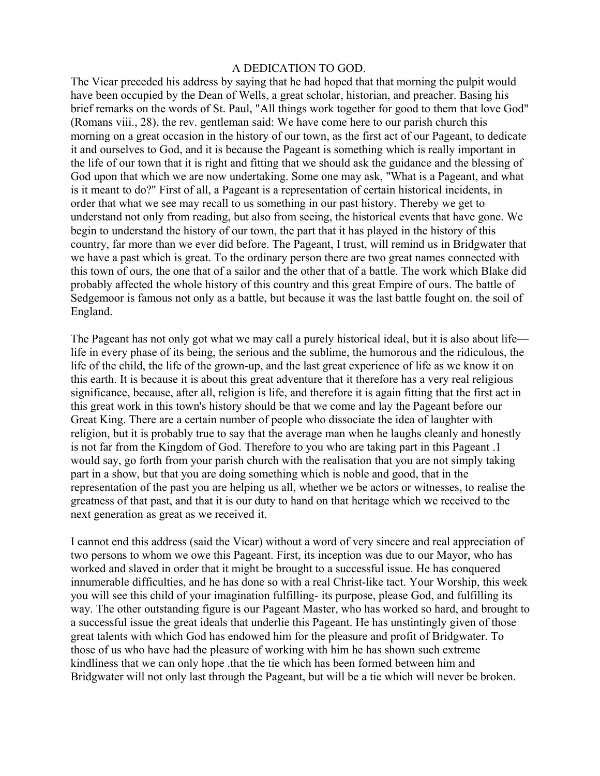## A DEDICATION TO GOD.

The Vicar preceded his address by saying that he had hoped that that morning the pulpit would have been occupied by the Dean of Wells, a great scholar, historian, and preacher. Basing his brief remarks on the words of St. Paul, "All things work together for good to them that love God" (Romans viii., 28), the rev. gentleman said: We have come here to our parish church this morning on a great occasion in the history of our town, as the first act of our Pageant, to dedicate it and ourselves to God, and it is because the Pageant is something which is really important in the life of our town that it is right and fitting that we should ask the guidance and the blessing of God upon that which we are now undertaking. Some one may ask, "What is a Pageant, and what is it meant to do?" First of all, a Pageant is a representation of certain historical incidents, in order that what we see may recall to us something in our past history. Thereby we get to understand not only from reading, but also from seeing, the historical events that have gone. We begin to understand the history of our town, the part that it has played in the history of this country, far more than we ever did before. The Pageant, I trust, will remind us in Bridgwater that we have a past which is great. To the ordinary person there are two great names connected with this town of ours, the one that of a sailor and the other that of a battle. The work which Blake did probably affected the whole history of this country and this great Empire of ours. The battle of Sedgemoor is famous not only as a battle, but because it was the last battle fought on. the soil of England.

The Pageant has not only got what we may call a purely historical ideal, but it is also about life life in every phase of its being, the serious and the sublime, the humorous and the ridiculous, the life of the child, the life of the grown-up, and the last great experience of life as we know it on this earth. It is because it is about this great adventure that it therefore has a very real religious significance, because, after all, religion is life, and therefore it is again fitting that the first act in this great work in this town's history should be that we come and lay the Pageant before our Great King. There are a certain number of people who dissociate the idea of laughter with religion, but it is probably true to say that the average man when he laughs cleanly and honestly is not far from the Kingdom of God. Therefore to you who are taking part in this Pageant .1 would say, go forth from your parish church with the realisation that you are not simply taking part in a show, but that you are doing something which is noble and good, that in the representation of the past you are helping us all, whether we be actors or witnesses, to realise the greatness of that past, and that it is our duty to hand on that heritage which we received to the next generation as great as we received it.

I cannot end this address (said the Vicar) without a word of very sincere and real appreciation of two persons to whom we owe this Pageant. First, its inception was due to our Mayor, who has worked and slaved in order that it might be brought to a successful issue. He has conquered innumerable difficulties, and he has done so with a real Christ-like tact. Your Worship, this week you will see this child of your imagination fulfilling- its purpose, please God, and fulfilling its way. The other outstanding figure is our Pageant Master, who has worked so hard, and brought to a successful issue the great ideals that underlie this Pageant. He has unstintingly given of those great talents with which God has endowed him for the pleasure and profit of Bridgwater. To those of us who have had the pleasure of working with him he has shown such extreme kindliness that we can only hope .that the tie which has been formed between him and Bridgwater will not only last through the Pageant, but will be a tie which will never be broken.